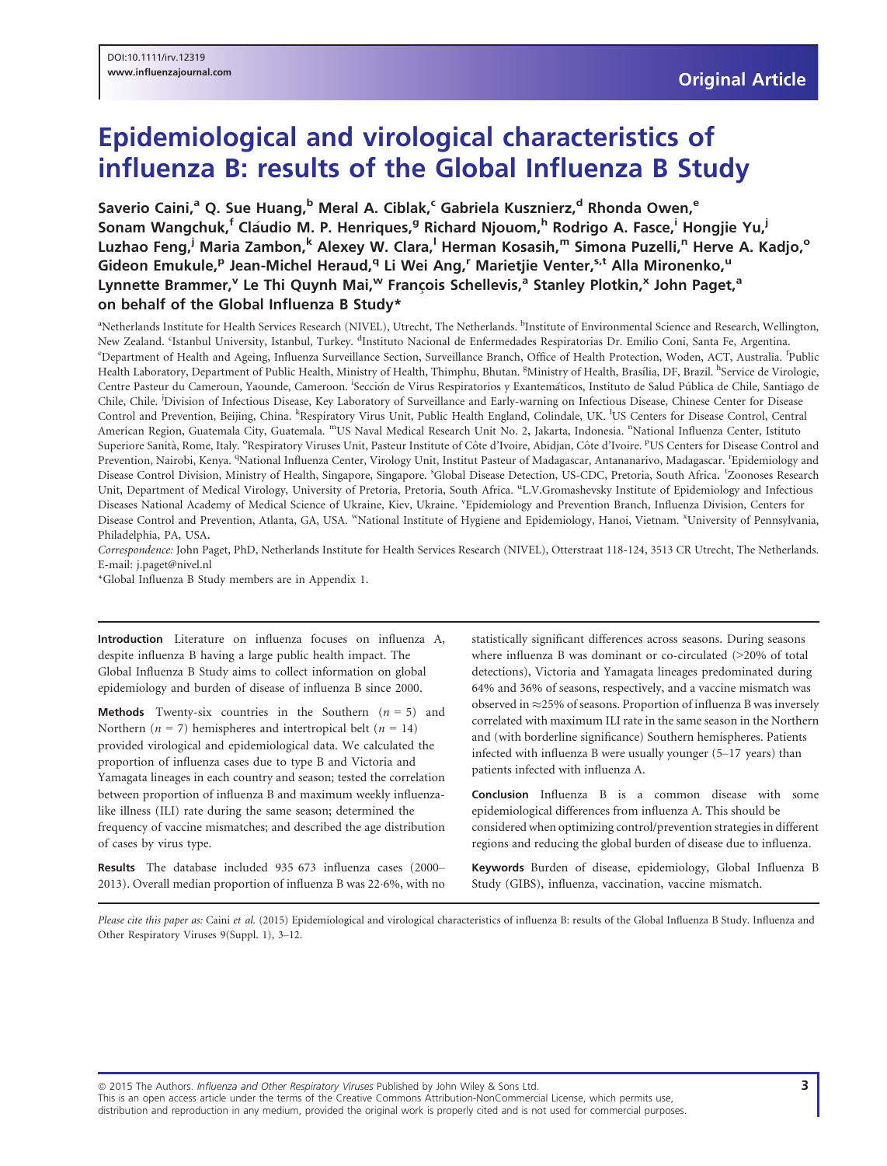# Epidemiological and virological characteristics of influenza B: results of the Global Influenza B Study

Saverio Caini,<sup>a</sup> Q. Sue Huang,<sup>b</sup> Meral A. Ciblak,<sup>c</sup> Gabriela Kusznierz,<sup>d</sup> Rhonda Owen,<sup>e</sup> Sonam Wangchuk,<sup>f</sup> Cláudio M. P. Henriques,<sup>g</sup> Richard Njouom,<sup>h</sup> Rodrigo A. Fasce,<sup>i</sup> Hongjie Yu,<sup>j</sup> Luzhao Feng,<sup>j</sup> Maria Zambon,<sup>k</sup> Alexey W. Clara,<sup>l</sup> Herman Kosasih,<sup>m</sup> Simona Puzelli,<sup>n</sup> Herve A. Kadjo,<sup>o</sup> Gideon Emukule,<sup>p</sup> Jean-Michel Heraud,<sup>q</sup> Li Wei Ang,<sup>r</sup> Marietjie Venter,<sup>s,t</sup> Alla Mironenko,<sup>u</sup> Lynnette Brammer,<sup>v</sup> Le Thi Quynh Mai,<sup>w</sup> Francois Schellevis,<sup>a</sup> Stanley Plotkin,<sup>x</sup> John Paget,<sup>a</sup> on behalf of the Global Influenza B Study\*

<sup>a</sup>Netherlands Institute for Health Services Research (NIVEL), Utrecht, The Netherlands. <sup>b</sup>Institute of Environmental Science and Research, Wellington, New Zealand. <sup>c</sup>Istanbul University, Istanbul, Turkey. <sup>d</sup>Instituto Nacional de Enfermedades Respiratorias Dr. Emilio Coni, Santa Fe, Argentina.<br>CDepartment of Health and Ageing Influenza Surveillance Section, Surveillance Department of Health and Ageing, Influenza Surveillance Section, Surveillance Branch, Office of Health Protection, Woden, ACT, Australia. <sup>f</sup>Public Health Laboratory, Department of Public Health, Ministry of Health, Thimphu, Bhutan. <sup>g</sup>Ministry of Health, Brasília, DF, Brazil. <sup>h</sup>Service de Virologie, Centre Pasteur du Cameroun, Yaounde, Cameroon. <sup>i</sup>Sección de Virus Respiratorios y Exantemáticos, Instituto de Salud Pública de Chile, Santiago de Chile, Chile. <sup>j</sup>Division of Infectious Disease, Key Laboratory of Surveillance and Early-warning on Infectious Disease, Chinese Center for Disease Control and Prevention, Beijing, China. KRespiratory Virus Unit, Public Health England, Colindale, UK. <sup>1</sup>US Centers for Disease Control, Central American Region, Guatemala City, Guatemala. <sup>m</sup>US Naval Medical Research Unit No. 2, Jakarta, Indonesia. <sup>n</sup>National Influenza Center, Istituto Superiore Sanità, Rome, Italy. <sup>o</sup>Respiratory Viruses Unit, Pasteur Institute of Côte d'Ivoire, Abidjan, Côte d'Ivoire. <sup>p</sup>US Centers for Disease Control and Prevention, Nairobi, Kenya. <sup>q</sup>National Influenza Center, Virology Unit, Institut Pasteur of Madagascar, Antananarivo, Madagascar. <sup>r</sup>Epidemiology and Disease Control Division, Ministry of Health, Singapore, Singapore. <sup>8</sup>Global Disease Detection, US-CDC, Pretoria, South Africa. <sup>t</sup>Zoonoses Research Unit, Department of Medical Virology, University of Pretoria, Pretoria, South Africa. "L.V.Gromashevsky Institute of Epidemiology and Infectious Diseases National Academy of Medical Science of Ukraine, Kiev, Ukraine. 'Epidemiology and Prevention Branch, Influenza Division, Centers for Disease Control and Prevention, Atlanta, GA, USA. "National Institute of Hygiene and Epidemiology, Hanoi, Vietnam. "University of Pennsylvania, Philadelphia, PA, USA.

Correspondence: John Paget, PhD, Netherlands Institute for Health Services Research (NIVEL), Otterstraat 118-124, 3513 CR Utrecht, The Netherlands. E-mail: j.paget@nivel.nl

\*Global Influenza B Study members are in Appendix 1.

Introduction Literature on influenza focuses on influenza A, despite influenza B having a large public health impact. The Global Influenza B Study aims to collect information on global epidemiology and burden of disease of influenza B since 2000.

**Methods** Twenty-six countries in the Southern  $(n = 5)$  and Northern ( $n = 7$ ) hemispheres and intertropical belt ( $n = 14$ ) provided virological and epidemiological data. We calculated the proportion of influenza cases due to type B and Victoria and Yamagata lineages in each country and season; tested the correlation between proportion of influenza B and maximum weekly influenzalike illness (ILI) rate during the same season; determined the frequency of vaccine mismatches; and described the age distribution of cases by virus type.

Results The database included 935 673 influenza cases (2000– 2013). Overall median proportion of influenza B was 226%, with no

statistically significant differences across seasons. During seasons where influenza B was dominant or co-circulated (>20% of total detections), Victoria and Yamagata lineages predominated during 64% and 36% of seasons, respectively, and a vaccine mismatch was observed in  $\approx$ 25% of seasons. Proportion of influenza B was inversely correlated with maximum ILI rate in the same season in the Northern and (with borderline significance) Southern hemispheres. Patients infected with influenza B were usually younger (5–17 years) than patients infected with influenza A.

Conclusion Influenza B is a common disease with some epidemiological differences from influenza A. This should be considered when optimizing control/prevention strategies in different regions and reducing the global burden of disease due to influenza.

Keywords Burden of disease, epidemiology, Global Influenza B Study (GIBS), influenza, vaccination, vaccine mismatch.

Please cite this paper as: Caini et al. (2015) Epidemiological and virological characteristics of influenza B: results of the Global Influenza B Study. Influenza and Other Respiratory Viruses 9(Suppl. 1), 3–12.

 $\degree$  2015 The Authors. Influenza and Other Respiratory Viruses Published by John Wiley & Sons Ltd.  $\degree$  3 This is an open access article under the terms of the Creative Commons Attribution-NonCommercial License, which permits use, distribution and reproduction in any medium, provided the original work is properly cited and is not used for commercial purposes.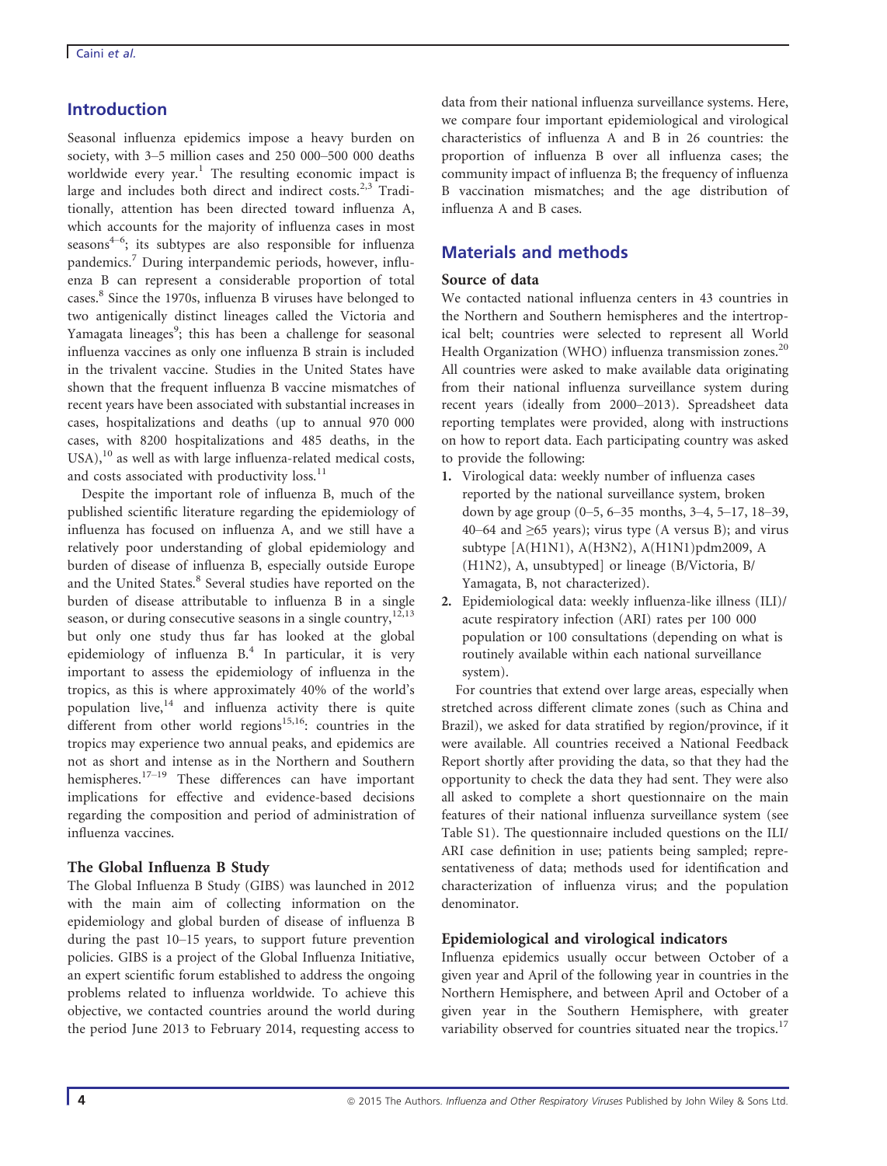# Introduction

Seasonal influenza epidemics impose a heavy burden on society, with 3–5 million cases and 250 000–500 000 deaths worldwide every year.<sup>1</sup> The resulting economic impact is large and includes both direct and indirect costs. $2,3$  Traditionally, attention has been directed toward influenza A, which accounts for the majority of influenza cases in most seasons<sup>4-6</sup>; its subtypes are also responsible for influenza pandemics.<sup>7</sup> During interpandemic periods, however, influenza B can represent a considerable proportion of total cases.<sup>8</sup> Since the 1970s, influenza B viruses have belonged to two antigenically distinct lineages called the Victoria and Yamagata lineages<sup>9</sup>; this has been a challenge for seasonal influenza vaccines as only one influenza B strain is included in the trivalent vaccine. Studies in the United States have shown that the frequent influenza B vaccine mismatches of recent years have been associated with substantial increases in cases, hospitalizations and deaths (up to annual 970 000 cases, with 8200 hospitalizations and 485 deaths, in the USA), $^{10}$  as well as with large influenza-related medical costs, and costs associated with productivity  $loss.<sup>11</sup>$ 

Despite the important role of influenza B, much of the published scientific literature regarding the epidemiology of influenza has focused on influenza A, and we still have a relatively poor understanding of global epidemiology and burden of disease of influenza B, especially outside Europe and the United States.<sup>8</sup> Several studies have reported on the burden of disease attributable to influenza B in a single season, or during consecutive seasons in a single country,  $12,13$ but only one study thus far has looked at the global epidemiology of influenza  $B<sup>4</sup>$  In particular, it is very important to assess the epidemiology of influenza in the tropics, as this is where approximately 40% of the world's population live,<sup>14</sup> and influenza activity there is quite different from other world regions<sup>15,16</sup>: countries in the tropics may experience two annual peaks, and epidemics are not as short and intense as in the Northern and Southern hemispheres.<sup>17–19</sup> These differences can have important implications for effective and evidence-based decisions regarding the composition and period of administration of influenza vaccines.

## The Global Influenza B Study

The Global Influenza B Study (GIBS) was launched in 2012 with the main aim of collecting information on the epidemiology and global burden of disease of influenza B during the past 10–15 years, to support future prevention policies. GIBS is a project of the Global Influenza Initiative, an expert scientific forum established to address the ongoing problems related to influenza worldwide. To achieve this objective, we contacted countries around the world during the period June 2013 to February 2014, requesting access to data from their national influenza surveillance systems. Here, we compare four important epidemiological and virological characteristics of influenza A and B in 26 countries: the proportion of influenza B over all influenza cases; the community impact of influenza B; the frequency of influenza B vaccination mismatches; and the age distribution of influenza A and B cases.

# Materials and methods

#### Source of data

We contacted national influenza centers in 43 countries in the Northern and Southern hemispheres and the intertropical belt; countries were selected to represent all World Health Organization (WHO) influenza transmission zones.<sup>20</sup> All countries were asked to make available data originating from their national influenza surveillance system during recent years (ideally from 2000–2013). Spreadsheet data reporting templates were provided, along with instructions on how to report data. Each participating country was asked to provide the following:

- 1. Virological data: weekly number of influenza cases reported by the national surveillance system, broken down by age group (0–5, 6–35 months, 3–4, 5–17, 18–39, 40–64 and  $\geq$ 65 years); virus type (A versus B); and virus subtype [A(H1N1), A(H3N2), A(H1N1)pdm2009, A (H1N2), A, unsubtyped] or lineage (B/Victoria, B/ Yamagata, B, not characterized).
- 2. Epidemiological data: weekly influenza-like illness (ILI)/ acute respiratory infection (ARI) rates per 100 000 population or 100 consultations (depending on what is routinely available within each national surveillance system).

For countries that extend over large areas, especially when stretched across different climate zones (such as China and Brazil), we asked for data stratified by region/province, if it were available. All countries received a National Feedback Report shortly after providing the data, so that they had the opportunity to check the data they had sent. They were also all asked to complete a short questionnaire on the main features of their national influenza surveillance system (see Table S1). The questionnaire included questions on the ILI/ ARI case definition in use; patients being sampled; representativeness of data; methods used for identification and characterization of influenza virus; and the population denominator.

## Epidemiological and virological indicators

Influenza epidemics usually occur between October of a given year and April of the following year in countries in the Northern Hemisphere, and between April and October of a given year in the Southern Hemisphere, with greater variability observed for countries situated near the tropics.<sup>17</sup>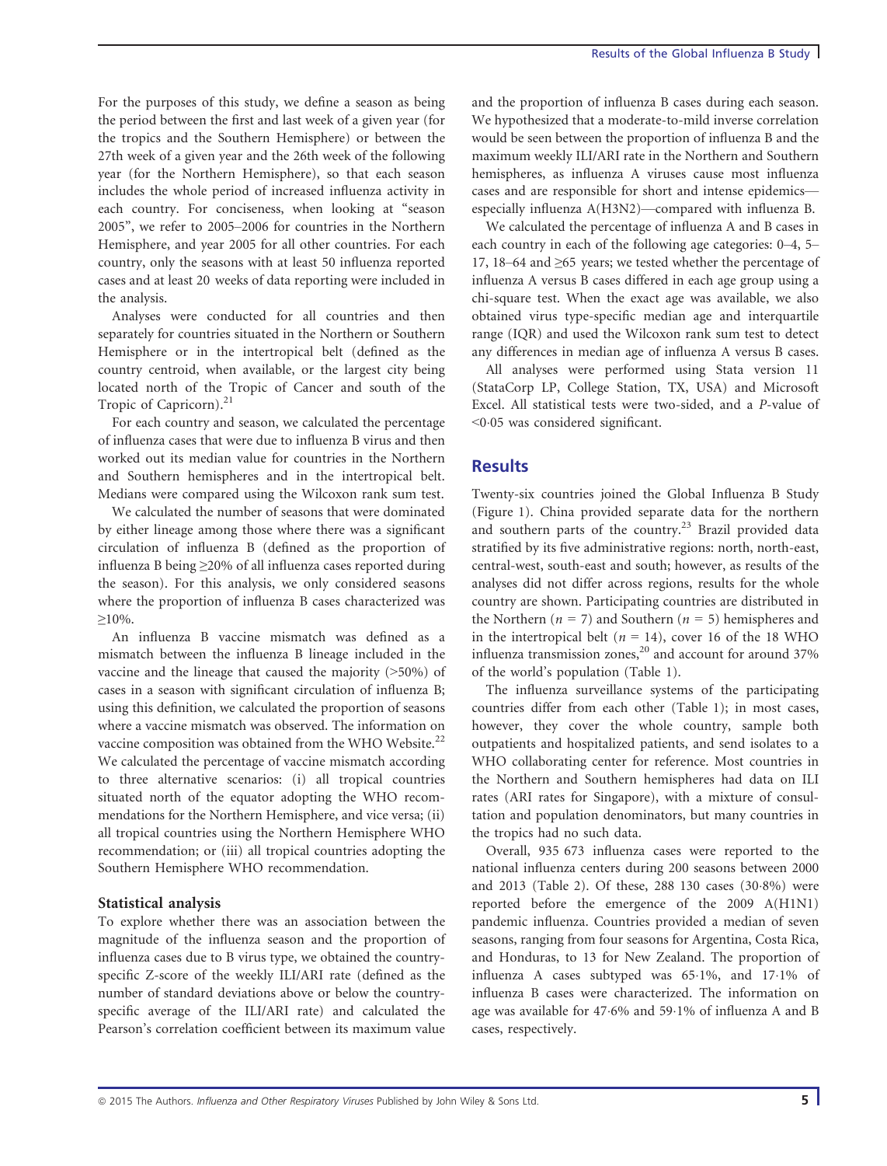For the purposes of this study, we define a season as being the period between the first and last week of a given year (for the tropics and the Southern Hemisphere) or between the 27th week of a given year and the 26th week of the following year (for the Northern Hemisphere), so that each season includes the whole period of increased influenza activity in each country. For conciseness, when looking at "season 2005", we refer to 2005–2006 for countries in the Northern Hemisphere, and year 2005 for all other countries. For each country, only the seasons with at least 50 influenza reported cases and at least 20 weeks of data reporting were included in the analysis.

Analyses were conducted for all countries and then separately for countries situated in the Northern or Southern Hemisphere or in the intertropical belt (defined as the country centroid, when available, or the largest city being located north of the Tropic of Cancer and south of the Tropic of Capricorn).<sup>21</sup>

For each country and season, we calculated the percentage of influenza cases that were due to influenza B virus and then worked out its median value for countries in the Northern and Southern hemispheres and in the intertropical belt. Medians were compared using the Wilcoxon rank sum test.

We calculated the number of seasons that were dominated by either lineage among those where there was a significant circulation of influenza B (defined as the proportion of influenza B being ≥20% of all influenza cases reported during the season). For this analysis, we only considered seasons where the proportion of influenza B cases characterized was  $>10\%$ .

An influenza B vaccine mismatch was defined as a mismatch between the influenza B lineage included in the vaccine and the lineage that caused the majority (>50%) of cases in a season with significant circulation of influenza B; using this definition, we calculated the proportion of seasons where a vaccine mismatch was observed. The information on vaccine composition was obtained from the WHO Website.<sup>22</sup> We calculated the percentage of vaccine mismatch according to three alternative scenarios: (i) all tropical countries situated north of the equator adopting the WHO recommendations for the Northern Hemisphere, and vice versa; (ii) all tropical countries using the Northern Hemisphere WHO recommendation; or (iii) all tropical countries adopting the Southern Hemisphere WHO recommendation.

#### Statistical analysis

To explore whether there was an association between the magnitude of the influenza season and the proportion of influenza cases due to B virus type, we obtained the countryspecific Z-score of the weekly ILI/ARI rate (defined as the number of standard deviations above or below the countryspecific average of the ILI/ARI rate) and calculated the Pearson's correlation coefficient between its maximum value and the proportion of influenza B cases during each season. We hypothesized that a moderate-to-mild inverse correlation would be seen between the proportion of influenza B and the maximum weekly ILI/ARI rate in the Northern and Southern hemispheres, as influenza A viruses cause most influenza cases and are responsible for short and intense epidemics especially influenza A(H3N2)—compared with influenza B.

We calculated the percentage of influenza A and B cases in each country in each of the following age categories: 0–4, 5– 17, 18–64 and ≥65 years; we tested whether the percentage of influenza A versus B cases differed in each age group using a chi-square test. When the exact age was available, we also obtained virus type-specific median age and interquartile range (IQR) and used the Wilcoxon rank sum test to detect any differences in median age of influenza A versus B cases.

All analyses were performed using Stata version 11 (StataCorp LP, College Station, TX, USA) and Microsoft Excel. All statistical tests were two-sided, and a P-value of  $< 0.05$  was considered significant.

#### **Results**

Twenty-six countries joined the Global Influenza B Study (Figure 1). China provided separate data for the northern and southern parts of the country. $^{23}$  Brazil provided data stratified by its five administrative regions: north, north-east, central-west, south-east and south; however, as results of the analyses did not differ across regions, results for the whole country are shown. Participating countries are distributed in the Northern ( $n = 7$ ) and Southern ( $n = 5$ ) hemispheres and in the intertropical belt ( $n = 14$ ), cover 16 of the 18 WHO influenza transmission zones, $20$  and account for around 37% of the world's population (Table 1).

The influenza surveillance systems of the participating countries differ from each other (Table 1); in most cases, however, they cover the whole country, sample both outpatients and hospitalized patients, and send isolates to a WHO collaborating center for reference. Most countries in the Northern and Southern hemispheres had data on ILI rates (ARI rates for Singapore), with a mixture of consultation and population denominators, but many countries in the tropics had no such data.

Overall, 935 673 influenza cases were reported to the national influenza centers during 200 seasons between 2000 and 2013 (Table 2). Of these, 288 130 cases (308%) were reported before the emergence of the 2009 A(H1N1) pandemic influenza. Countries provided a median of seven seasons, ranging from four seasons for Argentina, Costa Rica, and Honduras, to 13 for New Zealand. The proportion of influenza A cases subtyped was 651%, and 171% of influenza B cases were characterized. The information on age was available for 476% and 591% of influenza A and B cases, respectively.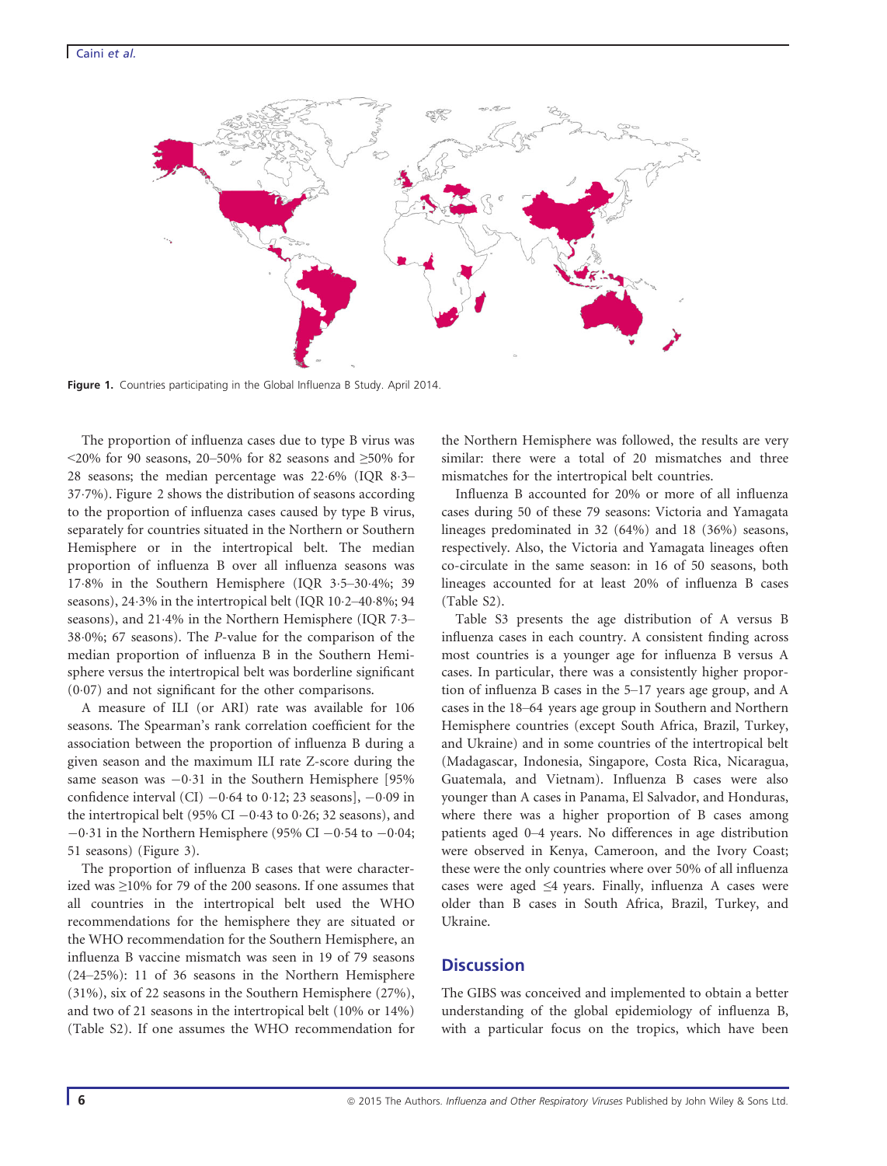

Figure 1. Countries participating in the Global Influenza B Study. April 2014.

The proportion of influenza cases due to type B virus was  $\leq$ 20% for 90 seasons, 20–50% for 82 seasons and  $\geq$ 50% for 28 seasons; the median percentage was  $22.6\%$  (IQR 8.3-377%). Figure 2 shows the distribution of seasons according to the proportion of influenza cases caused by type B virus, separately for countries situated in the Northern or Southern Hemisphere or in the intertropical belt. The median proportion of influenza B over all influenza seasons was 17.8% in the Southern Hemisphere (IQR 3.5-30.4%; 39 seasons), 24.3% in the intertropical belt (IQR 10.2–40.8%; 94 seasons), and 21.4% in the Northern Hemisphere (IQR 7.3– 380%; 67 seasons). The P-value for the comparison of the median proportion of influenza B in the Southern Hemisphere versus the intertropical belt was borderline significant  $(0.07)$  and not significant for the other comparisons.

A measure of ILI (or ARI) rate was available for 106 seasons. The Spearman's rank correlation coefficient for the association between the proportion of influenza B during a given season and the maximum ILI rate Z-score during the same season was  $-0.31$  in the Southern Hemisphere [95%] confidence interval (CI)  $-0.64$  to 0.12; 23 seasons],  $-0.09$  in the intertropical belt (95% CI  $-0.43$  to 0.26; 32 seasons), and  $-0.31$  in the Northern Hemisphere (95% CI  $-0.54$  to  $-0.04$ ; 51 seasons) (Figure 3).

The proportion of influenza B cases that were characterized was ≥10% for 79 of the 200 seasons. If one assumes that all countries in the intertropical belt used the WHO recommendations for the hemisphere they are situated or the WHO recommendation for the Southern Hemisphere, an influenza B vaccine mismatch was seen in 19 of 79 seasons (24–25%): 11 of 36 seasons in the Northern Hemisphere (31%), six of 22 seasons in the Southern Hemisphere (27%), and two of 21 seasons in the intertropical belt (10% or 14%) (Table S2). If one assumes the WHO recommendation for the Northern Hemisphere was followed, the results are very similar: there were a total of 20 mismatches and three mismatches for the intertropical belt countries.

Influenza B accounted for 20% or more of all influenza cases during 50 of these 79 seasons: Victoria and Yamagata lineages predominated in 32 (64%) and 18 (36%) seasons, respectively. Also, the Victoria and Yamagata lineages often co-circulate in the same season: in 16 of 50 seasons, both lineages accounted for at least 20% of influenza B cases (Table S2).

Table S3 presents the age distribution of A versus B influenza cases in each country. A consistent finding across most countries is a younger age for influenza B versus A cases. In particular, there was a consistently higher proportion of influenza B cases in the 5–17 years age group, and A cases in the 18–64 years age group in Southern and Northern Hemisphere countries (except South Africa, Brazil, Turkey, and Ukraine) and in some countries of the intertropical belt (Madagascar, Indonesia, Singapore, Costa Rica, Nicaragua, Guatemala, and Vietnam). Influenza B cases were also younger than A cases in Panama, El Salvador, and Honduras, where there was a higher proportion of B cases among patients aged 0–4 years. No differences in age distribution were observed in Kenya, Cameroon, and the Ivory Coast; these were the only countries where over 50% of all influenza cases were aged  $\leq 4$  years. Finally, influenza A cases were older than B cases in South Africa, Brazil, Turkey, and Ukraine.

## **Discussion**

The GIBS was conceived and implemented to obtain a better understanding of the global epidemiology of influenza B, with a particular focus on the tropics, which have been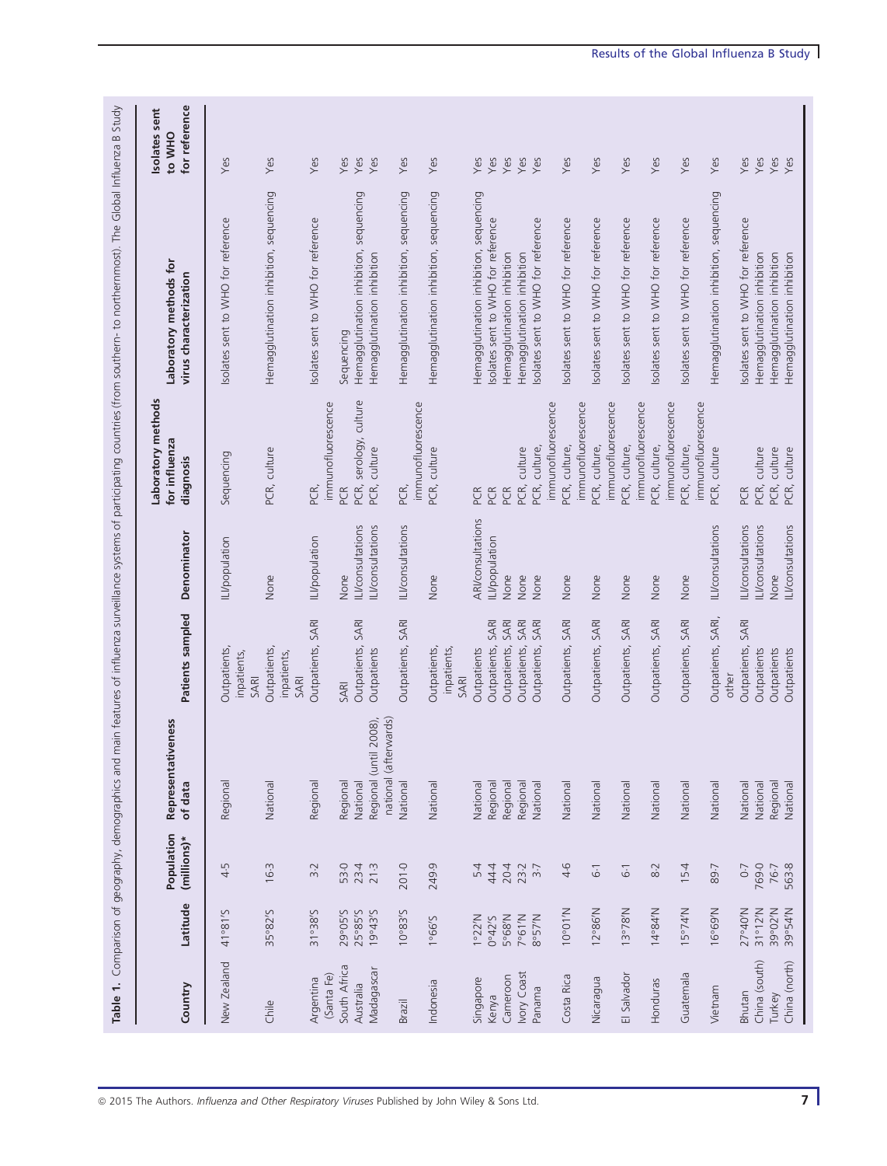| Country                 | Latitude           | Population<br>(millions)* | veness<br>Representati<br>of data                           | Patients sampled                    | Denominator                            | Laboratory methods<br>for influenza<br>diagnosis | Laboratory methods for<br>virus characterization                       | for reference<br>solates sent<br>to WHO |
|-------------------------|--------------------|---------------------------|-------------------------------------------------------------|-------------------------------------|----------------------------------------|--------------------------------------------------|------------------------------------------------------------------------|-----------------------------------------|
| New Zealand             | 41°81'S            | 4.5                       | Regional                                                    | Outpatients,<br>inpatients,<br>SARI | ILI/population                         | Sequencing                                       | solates sent to WHO for reference                                      | Yes                                     |
| Chile                   | 35°82'S            | 16.3                      | National                                                    | Outpatients,<br>inpatients,<br>SARI | None                                   | PCR, culture                                     | Hemagglutination inhibition, sequencing                                | Yes                                     |
| (Santa Fe)<br>Argentina | S/8E°15            | 3.2                       | Regional                                                    | <b>SARI</b><br>Outpatients,         | ILI/population                         | immunofluorescence<br>PCR,                       | solates sent to WHO for reference                                      | Yes                                     |
| South Africa            | 29°05'S            | 53.0                      | Regional                                                    | SARI                                | None                                   | PCR                                              | Sequencing                                                             | Yes                                     |
| Madagascar<br>Australia | 25°85'S<br>19°43'5 | 23.4<br>21.3              | national (afterwards)<br>Regional (until 2008),<br>National | SARI<br>Outpatients,<br>Outpatients | ILI/consultations<br>ILI/consultations | serology, culture<br>PCR, culture<br>PCR,        | Hemagglutination inhibition, sequencing<br>Hemagglutination inhibition | Yes<br>Yes                              |
| Brazil                  | 10°83'S            | 201.0                     | National                                                    | SARI<br>Outpatients,                | ILI/consultations                      | PCR,                                             | Hemagglutination inhibition, sequencing                                | Yes                                     |
| Indonesia               | 1°66'S             | 249.9                     | National                                                    | Outpatients,<br>inpatients<br>SARI  | None                                   | immunofluorescence<br>PCR, culture               | Hemagglutination inhibition, sequencing                                | Yes                                     |
| Singapore               | $1°22'$ N          | 5.4                       | <b>National</b>                                             | Outpatients                         | <b>ARI/consultations</b>               | PCR                                              | Hemagglutination inhibition, sequencing                                | Yes                                     |
| Kenya                   | 0°42'5             | 44.4                      | Regional                                                    | SARI<br>Outpatients,                | ILI/population                         | PCR                                              | solates sent to WHO for reference                                      | Yes                                     |
| Cameroon                | 5°68'N             | 20.4                      | Regional                                                    | SARI<br>Outpatients,                | None                                   | PCR                                              | Hemagglutination inhibition                                            | Yes                                     |
| Ivory Coast             | $N/l$ 9°7          | 23.7<br>3.7               | Regional                                                    | SARI<br>Outpatients,                | None                                   | PCR, culture                                     | Hemagglutination inhibition                                            | Yes                                     |
| Panama                  | 8°57'N             |                           | Vational                                                    | SARI<br>Outpatients,                | None                                   | PCR, culture,                                    | solates sent to WHO for reference                                      | Yes                                     |
|                         |                    |                           |                                                             |                                     |                                        | immunofluorescence                               |                                                                        |                                         |
| Costa Rica              | 10°01'N            | 4.6                       | National                                                    | SARI<br>Outpatients,                | None                                   | immunofluorescence<br>PCR, culture,              | solates sent to WHO for reference                                      | Yes                                     |
| Nicaragua               | 12°86'N            | $\overline{6}$ :          | National                                                    | SARI<br>Outpatients,                | None                                   | PCR, culture,                                    | solates sent to WHO for reference                                      | Yes                                     |
|                         |                    |                           |                                                             |                                     |                                        | immunofluorescence                               |                                                                        |                                         |
| El Salvador             | 13°78'N            | $\overline{6}$ :          | National                                                    | SARI<br>Outpatients,                | None                                   | PCR, culture,                                    | solates sent to WHO for reference                                      | Yes                                     |
| Honduras                | 14°84'N            | 8.2                       | National                                                    | SARI<br>Outpatients,                | None                                   | immunofluorescence<br>PCR, culture,              | solates sent to WHO for reference                                      | Yes                                     |
|                         |                    |                           |                                                             |                                     |                                        | immunofluorescence                               |                                                                        |                                         |
| Guatemala               | 15°74'N            | 15.4                      | National                                                    | SARI<br>Outpatients,                | None                                   | immunofluorescence<br>PCR, culture,              | solates sent to WHO for reference                                      | Yes                                     |
| Vietnam                 | 16°69'N            | 89.7                      | National                                                    | SARI,<br>Outpatients,<br>other      | ILI/consultations                      | PCR, culture                                     | Hemagglutination inhibition, sequencing                                | Yes                                     |
| Bhutan                  | 27°40'N            | 0.7                       | National                                                    | SARI<br>Outpatients,                | ILI/consultations                      | PCR                                              | solates sent to WHO for reference                                      | Yes                                     |
| China (south)           | 31°12'N            | 769.0                     | National                                                    | Outpatients                         | ILI/consultations                      | PCR, culture                                     | Hemagglutination inhibition                                            | Yes                                     |
| Turkey                  | 39°02'N            | 76.7                      | Regional                                                    | Outpatients                         | None                                   | PCR, culture                                     | Hemagglutination inhibition                                            | Yes                                     |
| China (north)           | 39°54'N            | 563.8                     |                                                             | Outpatients                         | ILI/consultations                      | PCR, culture                                     | Hemagglutination inhibition                                            |                                         |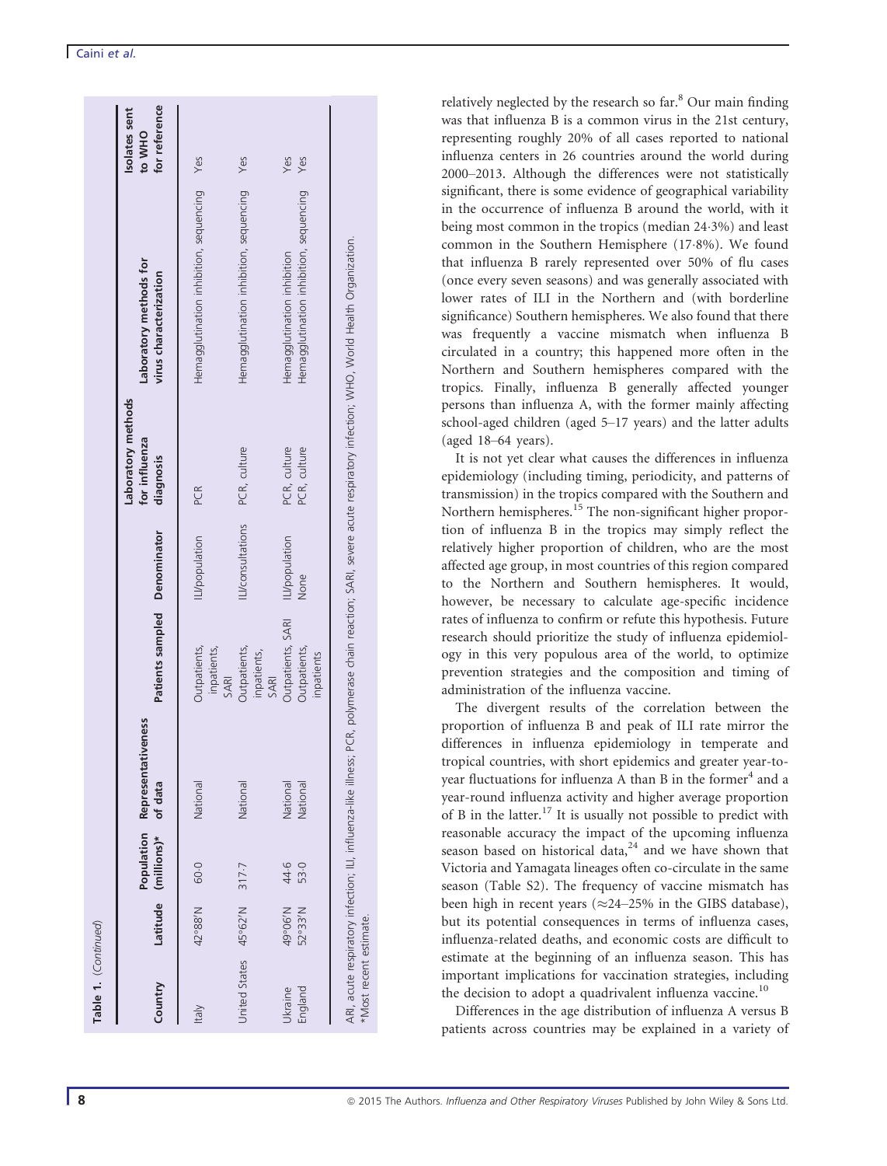| Country               |                    | Population<br>Latitude (millions)* | tiveness<br>Representat<br>of data | Patients sampled Denominator                    |                        | Laboratory methods<br>for influenza<br>diagnosis | Laboratory methods for<br>virus characterization                       | for reference<br>Isolates sent<br><b>to WHO</b> |
|-----------------------|--------------------|------------------------------------|------------------------------------|-------------------------------------------------|------------------------|--------------------------------------------------|------------------------------------------------------------------------|-------------------------------------------------|
| <b>Italy</b>          | 42°88'N            | 60.0                               | National                           | Outpatients,<br>inpatients,<br>SARI             | <b>ILV</b> population  | PCR                                              | Hemagglutination inhibition, sequencing                                | Yes                                             |
| United States 45°62'N |                    | 317.7                              | National                           | Outpatients,<br>inpatients,<br>SARI             | ILI/consultations      | PCR, culture                                     | Hemagglutination inhibition, sequencing                                | Yes                                             |
| England<br>Jkraine    | 49°06'N<br>52°33'N | 44.6<br>53.0                       | National<br>National               | Outpatients, SARI<br>Outpatients,<br>inpatients | ILI/population<br>None | PCR, culture<br>PCR, culture                     | Hemagglutination inhibition, sequencing<br>Hemagglutination inhibition | Yes<br>Yes                                      |

relatively neglected by the research so far.<sup>8</sup> Our main finding was that influenza B is a common virus in the 21st century, representing roughly 20% of all cases reported to national influenza centers in 26 countries around the world during 2000–2013. Although the differences were not statistically significant, there is some evidence of geographical variability in the occurrence of influenza B around the world, with it being most common in the tropics (median 243%) and least common in the Southern Hemisphere (178%). We found that influenza B rarely represented over 50% of flu cases (once every seven seasons) and was generally associated with lower rates of ILI in the Northern and (with borderline significance) Southern hemispheres. We also found that there was frequently a vaccine mismatch when influenza B circulated in a country; this happened more often in the Northern and Southern hemispheres compared with the tropics. Finally, influenza B generally affected younger persons than influenza A, with the former mainly affecting school-aged children (aged 5–17 years) and the latter adults (aged 18–64 years).

It is not yet clear what causes the differences in influenza epidemiology (including timing, periodicity, and patterns of transmission) in the tropics compared with the Southern and Northern hemispheres.<sup>15</sup> The non-significant higher proportion of influenza B in the tropics may simply reflect the relatively higher proportion of children, who are the most affected age group, in most countries of this region compared to the Northern and Southern hemispheres. It would, however, be necessary to calculate age-specific incidence rates of influenza to confirm or refute this hypothesis. Future research should prioritize the study of influenza epidemiology in this very populous area of the world, to optimize prevention strategies and the composition and timing of administration of the influenza vaccine.

The divergent results of the correlation between the proportion of influenza B and peak of ILI rate mirror the differences in influenza epidemiology in temperate and tropical countries, with short epidemics and greater year-toyear fluctuations for influenza A than B in the former $<sup>4</sup>$  and a</sup> year-round influenza activity and higher average proportion of B in the latter.<sup>17</sup> It is usually not possible to predict with reasonable accuracy the impact of the upcoming influenza season based on historical data, $24$  and we have shown that Victoria and Yamagata lineages often co-circulate in the same season (Table S2). The frequency of vaccine mismatch has been high in recent years ( $\approx$ 24–25% in the GIBS database), but its potential consequences in terms of influenza cases, influenza-related deaths, and economic costs are difficult to estimate at the beginning of an influenza season. This has important implications for vaccination strategies, including the decision to adopt a quadrivalent influenza vaccine.<sup>10</sup>

Differences in the age distribution of influenza A versus B patients across countries may be explained in a variety of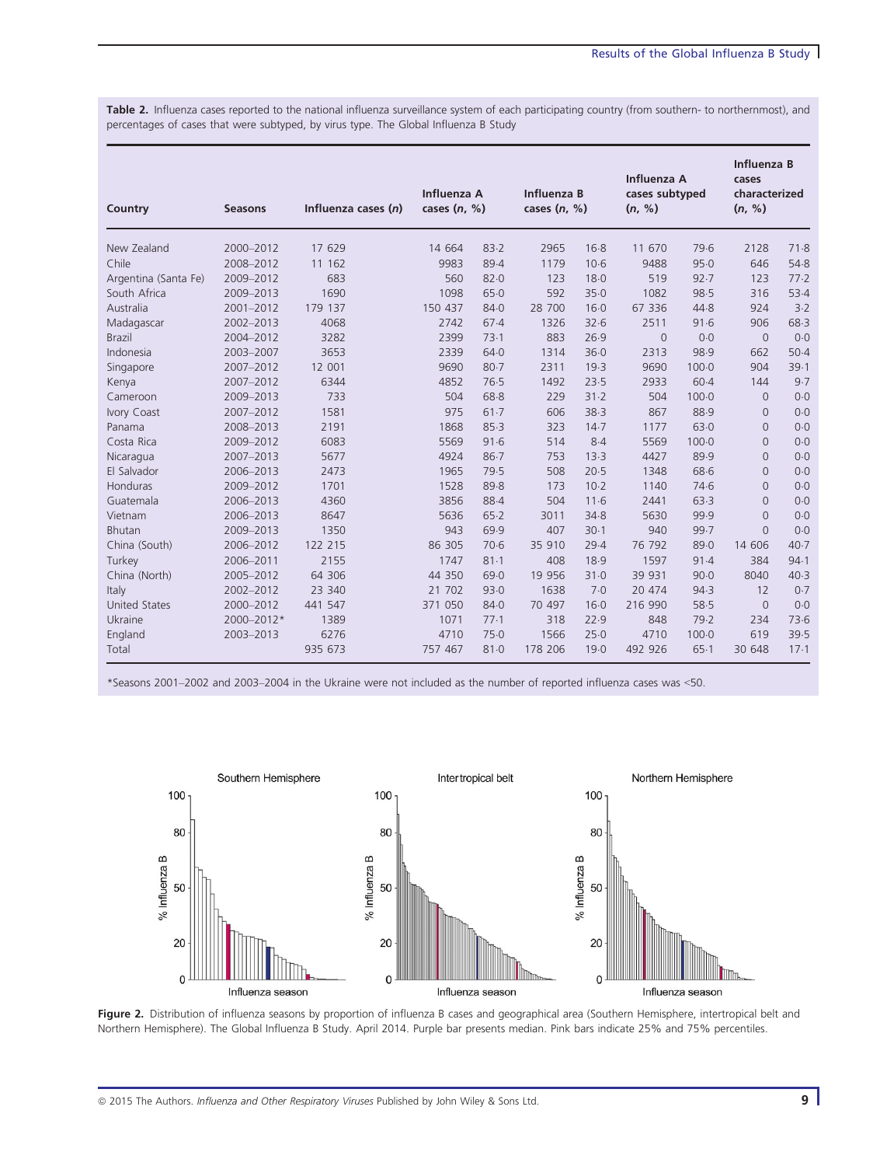Table 2. Influenza cases reported to the national influenza surveillance system of each participating country (from southern- to northernmost), and percentages of cases that were subtyped, by virus type. The Global Influenza B Study

| Country              | <b>Seasons</b> | Influenza cases $(n)$ | Influenza A<br>cases $(n, %)$ |          | Influenza B<br>cases $(n, %)$ |          | Influenza A<br>cases subtyped<br>(n, %) |           | <b>Influenza B</b><br>cases<br>characterized<br>(n, %) |        |
|----------------------|----------------|-----------------------|-------------------------------|----------|-------------------------------|----------|-----------------------------------------|-----------|--------------------------------------------------------|--------|
| New Zealand          | 2000-2012      | 17 629                | 14 664                        | 83.2     | 2965                          | $16-8$   | 11 670                                  | 79.6      | 2128                                                   | 71.8   |
| Chile                | 2008-2012      | 11 162                | 9983                          | 89.4     | 1179                          | $10-6$   | 9488                                    | 95.0      | 646                                                    | 54.8   |
| Argentina (Santa Fe) | 2009-2012      | 683                   | 560                           | 82.0     | 123                           | 18.0     | 519                                     | 92.7      | 123                                                    | 77.2   |
| South Africa         | 2009-2013      | 1690                  | 1098                          | 65.0     | 592                           | 35.0     | 1082                                    | 98.5      | 316                                                    | 53.4   |
| Australia            | 2001-2012      | 179 137               | 150 437                       | 84.0     | 28 700                        | $16 - 0$ | 67 336                                  | 44.8      | 924                                                    | 3.2    |
| Madagascar           | 2002-2013      | 4068                  | 2742                          | 67.4     | 1326                          | 32.6     | 2511                                    | 91.6      | 906                                                    | 68.3   |
| <b>Brazil</b>        | 2004-2012      | 3282                  | 2399                          | 73.1     | 883                           | 26.9     | $\Omega$                                | 0.0       | $\Omega$                                               | 0.0    |
| Indonesia            | 2003-2007      | 3653                  | 2339                          | 64.0     | 1314                          | $36 - 0$ | 2313                                    | 98.9      | 662                                                    | $50-4$ |
| Singapore            | 2007-2012      | 12 001                | 9690                          | $80 - 7$ | 2311                          | 19.3     | 9690                                    | $100 - 0$ | 904                                                    | 39.1   |
| Kenya                | 2007-2012      | 6344                  | 4852                          | 76.5     | 1492                          | 23.5     | 2933                                    | $60-4$    | 144                                                    | 9.7    |
| Cameroon             | 2009-2013      | 733                   | 504                           | 68.8     | 229                           | $31 - 2$ | 504                                     | $100 - 0$ | $\Omega$                                               | 0.0    |
| Ivory Coast          | 2007-2012      | 1581                  | 975                           | 61.7     | 606                           | 38.3     | 867                                     | 88.9      | $\Omega$                                               | 0.0    |
| Panama               | 2008-2013      | 2191                  | 1868                          | 85.3     | 323                           | 14.7     | 1177                                    | 63.0      | $\Omega$                                               | 0.0    |
| Costa Rica           | 2009-2012      | 6083                  | 5569                          | 91.6     | 514                           | 8.4      | 5569                                    | $100 - 0$ | $\Omega$                                               | 0.0    |
| Nicaragua            | 2007-2013      | 5677                  | 4924                          | $86 - 7$ | 753                           | 13.3     | 4427                                    | 89.9      | $\Omega$                                               | 0.0    |
| El Salvador          | 2006-2013      | 2473                  | 1965                          | 79.5     | 508                           | 20.5     | 1348                                    | 68.6      | $\Omega$                                               | 0.0    |
| Honduras             | 2009-2012      | 1701                  | 1528                          | 89.8     | 173                           | $10-2$   | 1140                                    | 74.6      | $\Omega$                                               | 0.0    |
| Guatemala            | 2006-2013      | 4360                  | 3856                          | 88.4     | 504                           | 11.6     | 2441                                    | 63.3      | $\Omega$                                               | 0.0    |
| Vietnam              | 2006-2013      | 8647                  | 5636                          | 65.2     | 3011                          | 34.8     | 5630                                    | 99.9      | $\Omega$                                               | 0.0    |
| <b>Bhutan</b>        | 2009-2013      | 1350                  | 943                           | 69.9     | 407                           | $30-1$   | 940                                     | 99.7      | $\Omega$                                               | 0.0    |
| China (South)        | 2006-2012      | 122 215               | 86 305                        | 70.6     | 35 910                        | 29.4     | 76 792                                  | 89.0      | 14 606                                                 | 40.7   |
| Turkey               | 2006-2011      | 2155                  | 1747                          | $81 - 1$ | 408                           | 18.9     | 1597                                    | 91.4      | 384                                                    | 94.1   |
| China (North)        | 2005-2012      | 64 30 6               | 44 350                        | 69.0     | 19 956                        | 31.0     | 39 931                                  | 90.0      | 8040                                                   | 40.3   |
| Italy                | 2002-2012      | 23 340                | 21 702                        | 93.0     | 1638                          | 7.0      | 20 474                                  | 94.3      | 12                                                     | 0.7    |
| <b>United States</b> | 2000-2012      | 441 547               | 371 050                       | 84.0     | 70 497                        | $16 - 0$ | 216 990                                 | 58.5      | $\overline{0}$                                         | 0.0    |
| Ukraine              | 2000-2012*     | 1389                  | 1071                          | 77.1     | 318                           | 22.9     | 848                                     | 79.2      | 234                                                    | 73.6   |
| England              | 2003-2013      | 6276                  | 4710                          | 75.0     | 1566                          | 25.0     | 4710                                    | $100 - 0$ | 619                                                    | 39.5   |
| Total                |                | 935 673               | 757 467                       | 81.0     | 178 206                       | 19.0     | 492 926                                 | 65.1      | 30 648                                                 | $17-1$ |

\*Seasons 2001–2002 and 2003–2004 in the Ukraine were not included as the number of reported influenza cases was <50.



Figure 2. Distribution of influenza seasons by proportion of influenza B cases and geographical area (Southern Hemisphere, intertropical belt and Northern Hemisphere). The Global Influenza B Study. April 2014. Purple bar presents median. Pink bars indicate 25% and 75% percentiles.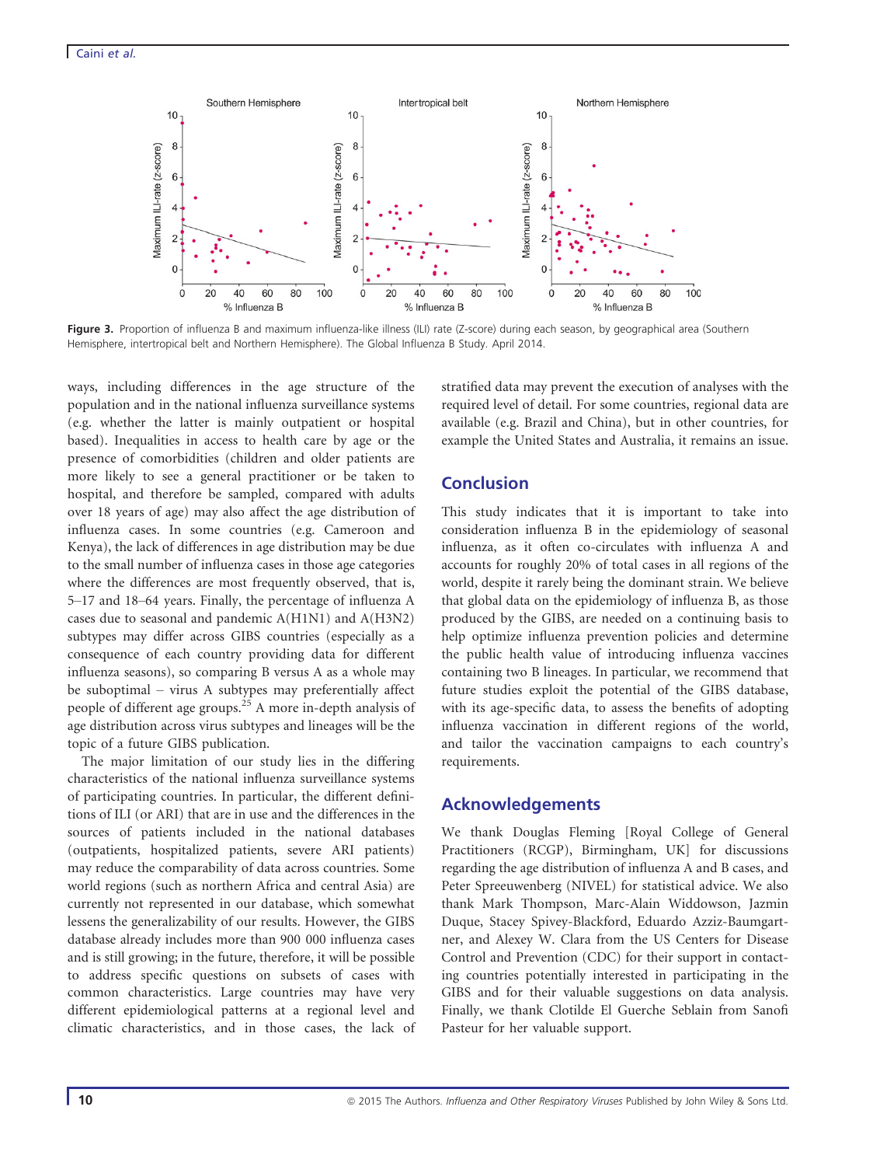

Figure 3. Proportion of influenza B and maximum influenza-like illness (ILI) rate (Z-score) during each season, by geographical area (Southern Hemisphere, intertropical belt and Northern Hemisphere). The Global Influenza B Study. April 2014.

ways, including differences in the age structure of the population and in the national influenza surveillance systems (e.g. whether the latter is mainly outpatient or hospital based). Inequalities in access to health care by age or the presence of comorbidities (children and older patients are more likely to see a general practitioner or be taken to hospital, and therefore be sampled, compared with adults over 18 years of age) may also affect the age distribution of influenza cases. In some countries (e.g. Cameroon and Kenya), the lack of differences in age distribution may be due to the small number of influenza cases in those age categories where the differences are most frequently observed, that is, 5–17 and 18–64 years. Finally, the percentage of influenza A cases due to seasonal and pandemic A(H1N1) and A(H3N2) subtypes may differ across GIBS countries (especially as a consequence of each country providing data for different influenza seasons), so comparing B versus A as a whole may be suboptimal – virus A subtypes may preferentially affect people of different age groups.<sup>25</sup> A more in-depth analysis of age distribution across virus subtypes and lineages will be the topic of a future GIBS publication.

The major limitation of our study lies in the differing characteristics of the national influenza surveillance systems of participating countries. In particular, the different definitions of ILI (or ARI) that are in use and the differences in the sources of patients included in the national databases (outpatients, hospitalized patients, severe ARI patients) may reduce the comparability of data across countries. Some world regions (such as northern Africa and central Asia) are currently not represented in our database, which somewhat lessens the generalizability of our results. However, the GIBS database already includes more than 900 000 influenza cases and is still growing; in the future, therefore, it will be possible to address specific questions on subsets of cases with common characteristics. Large countries may have very different epidemiological patterns at a regional level and climatic characteristics, and in those cases, the lack of stratified data may prevent the execution of analyses with the required level of detail. For some countries, regional data are available (e.g. Brazil and China), but in other countries, for example the United States and Australia, it remains an issue.

#### **Conclusion**

This study indicates that it is important to take into consideration influenza B in the epidemiology of seasonal influenza, as it often co-circulates with influenza A and accounts for roughly 20% of total cases in all regions of the world, despite it rarely being the dominant strain. We believe that global data on the epidemiology of influenza B, as those produced by the GIBS, are needed on a continuing basis to help optimize influenza prevention policies and determine the public health value of introducing influenza vaccines containing two B lineages. In particular, we recommend that future studies exploit the potential of the GIBS database, with its age-specific data, to assess the benefits of adopting influenza vaccination in different regions of the world, and tailor the vaccination campaigns to each country's requirements.

#### Acknowledgements

We thank Douglas Fleming [Royal College of General Practitioners (RCGP), Birmingham, UK] for discussions regarding the age distribution of influenza A and B cases, and Peter Spreeuwenberg (NIVEL) for statistical advice. We also thank Mark Thompson, Marc-Alain Widdowson, Jazmin Duque, Stacey Spivey-Blackford, Eduardo Azziz-Baumgartner, and Alexey W. Clara from the US Centers for Disease Control and Prevention (CDC) for their support in contacting countries potentially interested in participating in the GIBS and for their valuable suggestions on data analysis. Finally, we thank Clotilde El Guerche Seblain from Sanofi Pasteur for her valuable support.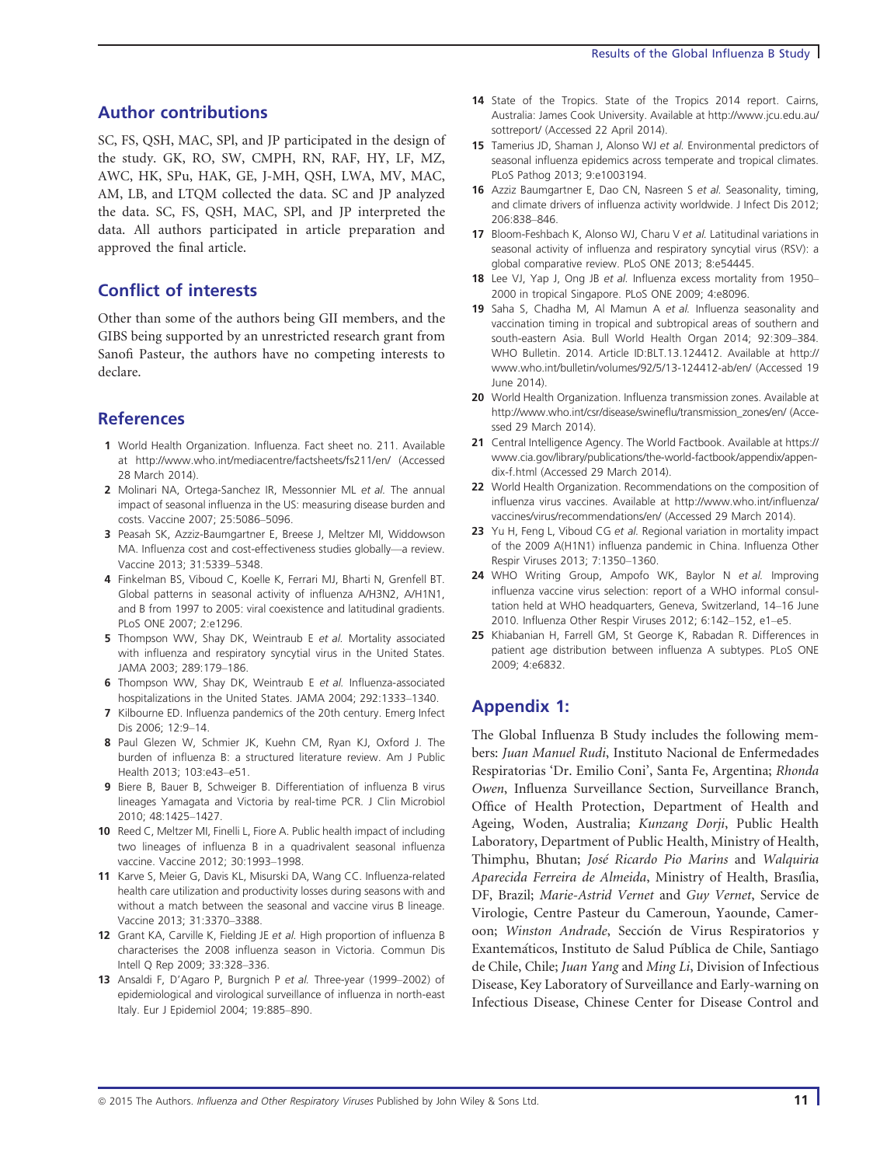## Author contributions

SC, FS, QSH, MAC, SPl, and JP participated in the design of the study. GK, RO, SW, CMPH, RN, RAF, HY, LF, MZ, AWC, HK, SPu, HAK, GE, J-MH, QSH, LWA, MV, MAC, AM, LB, and LTQM collected the data. SC and JP analyzed the data. SC, FS, QSH, MAC, SPl, and JP interpreted the data. All authors participated in article preparation and approved the final article.

# Conflict of interests

Other than some of the authors being GII members, and the GIBS being supported by an unrestricted research grant from Sanofi Pasteur, the authors have no competing interests to declare.

# **References**

- 1 World Health Organization. Influenza. Fact sheet no. 211. Available at http://www.who.int/mediacentre/factsheets/fs211/en/ (Accessed 28 March 2014).
- 2 Molinari NA, Ortega-Sanchez IR, Messonnier ML et al. The annual impact of seasonal influenza in the US: measuring disease burden and costs. Vaccine 2007; 25:5086–5096.
- 3 Peasah SK, Azziz-Baumgartner E, Breese J, Meltzer MI, Widdowson MA. Influenza cost and cost-effectiveness studies globally—a review. Vaccine 2013; 31:5339–5348.
- 4 Finkelman BS, Viboud C, Koelle K, Ferrari MJ, Bharti N, Grenfell BT. Global patterns in seasonal activity of influenza A/H3N2, A/H1N1, and B from 1997 to 2005: viral coexistence and latitudinal gradients. PLoS ONE 2007; 2:e1296.
- 5 Thompson WW, Shay DK, Weintraub E et al. Mortality associated with influenza and respiratory syncytial virus in the United States. JAMA 2003; 289:179–186.
- 6 Thompson WW, Shay DK, Weintraub E et al. Influenza-associated hospitalizations in the United States. JAMA 2004; 292:1333–1340.
- 7 Kilbourne ED. Influenza pandemics of the 20th century. Emerg Infect Dis 2006; 12:9–14.
- 8 Paul Glezen W, Schmier JK, Kuehn CM, Ryan KJ, Oxford J. The burden of influenza B: a structured literature review. Am J Public Health 2013; 103:e43–e51.
- 9 Biere B, Bauer B, Schweiger B. Differentiation of influenza B virus lineages Yamagata and Victoria by real-time PCR. J Clin Microbiol 2010; 48:1425–1427.
- 10 Reed C, Meltzer MI, Finelli L, Fiore A. Public health impact of including two lineages of influenza B in a quadrivalent seasonal influenza vaccine. Vaccine 2012; 30:1993–1998.
- 11 Karve S, Meier G, Davis KL, Misurski DA, Wang CC. Influenza-related health care utilization and productivity losses during seasons with and without a match between the seasonal and vaccine virus B lineage. Vaccine 2013; 31:3370–3388.
- 12 Grant KA, Carville K, Fielding JE et al. High proportion of influenza B characterises the 2008 influenza season in Victoria. Commun Dis Intell Q Rep 2009; 33:328–336.
- 13 Ansaldi F, D'Agaro P, Burgnich P et al. Three-year (1999–2002) of epidemiological and virological surveillance of influenza in north-east Italy. Eur J Epidemiol 2004; 19:885–890.
- 14 State of the Tropics. State of the Tropics 2014 report. Cairns, Australia: James Cook University. Available at http://www.jcu.edu.au/ sottreport/ (Accessed 22 April 2014).
- 15 Tamerius JD, Shaman J, Alonso WJ et al. Environmental predictors of seasonal influenza epidemics across temperate and tropical climates. PLoS Pathog 2013; 9:e1003194.
- 16 Azziz Baumgartner E, Dao CN, Nasreen S et al. Seasonality, timing, and climate drivers of influenza activity worldwide. J Infect Dis 2012; 206:838–846.
- 17 Bloom-Feshbach K, Alonso WJ, Charu V et al. Latitudinal variations in seasonal activity of influenza and respiratory syncytial virus (RSV): a global comparative review. PLoS ONE 2013; 8:e54445.
- 18 Lee VJ, Yap J, Ong JB et al. Influenza excess mortality from 1950– 2000 in tropical Singapore. PLoS ONE 2009; 4:e8096.
- 19 Saha S, Chadha M, Al Mamun A et al. Influenza seasonality and vaccination timing in tropical and subtropical areas of southern and south-eastern Asia. Bull World Health Organ 2014; 92:309–384. WHO Bulletin. 2014. Article ID:BLT.13.124412. Available at http:// www.who.int/bulletin/volumes/92/5/13-124412-ab/en/ (Accessed 19  $l$ une 2014)
- 20 World Health Organization. Influenza transmission zones. Available at http://www.who.int/csr/disease/swineflu/transmission\_zones/en/ (Accessed 29 March 2014).
- 21 Central Intelligence Agency. The World Factbook. Available at https:// www.cia.gov/library/publications/the-world-factbook/appendix/appendix-f.html (Accessed 29 March 2014).
- 22 World Health Organization. Recommendations on the composition of influenza virus vaccines. Available at http://www.who.int/influenza/ vaccines/virus/recommendations/en/ (Accessed 29 March 2014).
- 23 Yu H, Feng L, Viboud CG et al. Regional variation in mortality impact of the 2009 A(H1N1) influenza pandemic in China. Influenza Other Respir Viruses 2013; 7:1350–1360.
- 24 WHO Writing Group, Ampofo WK, Baylor N et al. Improving influenza vaccine virus selection: report of a WHO informal consultation held at WHO headquarters, Geneva, Switzerland, 14–16 June 2010. Influenza Other Respir Viruses 2012; 6:142–152, e1–e5.
- 25 Khiabanian H, Farrell GM, St George K, Rabadan R. Differences in patient age distribution between influenza A subtypes. PLoS ONE 2009; 4:e6832.

# Appendix 1:

The Global Influenza B Study includes the following members: Juan Manuel Rudi, Instituto Nacional de Enfermedades Respiratorias 'Dr. Emilio Coni', Santa Fe, Argentina; Rhonda Owen, Influenza Surveillance Section, Surveillance Branch, Office of Health Protection, Department of Health and Ageing, Woden, Australia; Kunzang Dorji, Public Health Laboratory, Department of Public Health, Ministry of Health, Thimphu, Bhutan; José Ricardo Pio Marins and Walquiria Aparecida Ferreira de Almeida, Ministry of Health, Brasılia, DF, Brazil; Marie-Astrid Vernet and Guy Vernet, Service de Virologie, Centre Pasteur du Cameroun, Yaounde, Cameroon; Winston Andrade, Sección de Virus Respiratorios y Exantematicos, Instituto de Salud Publica de Chile, Santiago de Chile, Chile; Juan Yang and Ming Li, Division of Infectious Disease, Key Laboratory of Surveillance and Early-warning on Infectious Disease, Chinese Center for Disease Control and